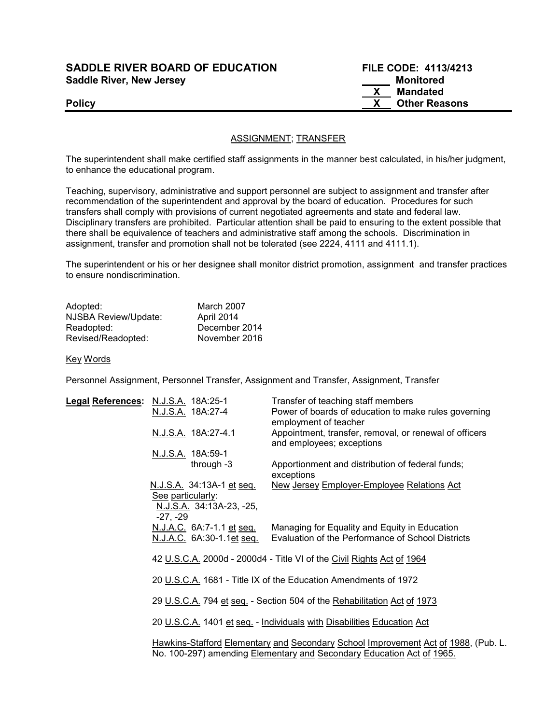## SADDLE RIVER BOARD OF EDUCATION FILE CODE: 4113/4213 Saddle River, New Jersey Monitored Music Contract and Music Contract Music Contract Music Contract Music Contract Music Contract Music Contract Music Contract Music Contract Music Contract Music Contract Music Contract Mus

 X Mandated Policy **New York 2018** Policy **COMPOSE** Policy **COMPOSE** 2019 2019 2019 2019 2019 2021 2022 2023

## ASSIGNMENT; TRANSFER

The superintendent shall make certified staff assignments in the manner best calculated, in his/her judgment, to enhance the educational program.

Teaching, supervisory, administrative and support personnel are subject to assignment and transfer after recommendation of the superintendent and approval by the board of education. Procedures for such transfers shall comply with provisions of current negotiated agreements and state and federal law. Disciplinary transfers are prohibited. Particular attention shall be paid to ensuring to the extent possible that there shall be equivalence of teachers and administrative staff among the schools. Discrimination in assignment, transfer and promotion shall not be tolerated (see 2224, 4111 and 4111.1).

The superintendent or his or her designee shall monitor district promotion, assignment and transfer practices to ensure nondiscrimination.

| Adopted:             | March 2007    |
|----------------------|---------------|
| NJSBA Review/Update: | April 2014    |
| Readopted:           | December 2014 |
| Revised/Readopted:   | November 2016 |

Key Words

Personnel Assignment, Personnel Transfer, Assignment and Transfer, Assignment, Transfer

| Legal References: N.J.S.A. 18A:25-1 |                                                                                                                                                             |                          | Transfer of teaching staff members                                                                 |  |
|-------------------------------------|-------------------------------------------------------------------------------------------------------------------------------------------------------------|--------------------------|----------------------------------------------------------------------------------------------------|--|
|                                     | N.J.S.A. 18A:27-4                                                                                                                                           |                          | Power of boards of education to make rules governing<br>employment of teacher                      |  |
|                                     | N.J.S.A. 18A:27-4.1                                                                                                                                         |                          | Appointment, transfer, removal, or renewal of officers<br>and employees; exceptions                |  |
|                                     | N.J.S.A. 18A:59-1                                                                                                                                           |                          |                                                                                                    |  |
|                                     |                                                                                                                                                             | through $-3$             | Apportionment and distribution of federal funds;<br>exceptions                                     |  |
|                                     | N.J.S.A. 34:13A-1 et seq.<br>See particularly:<br>-27, -29                                                                                                  | N.J.S.A. 34:13A-23, -25, | New Jersey Employer-Employee Relations Act                                                         |  |
|                                     | N.J.A.C. 6A:7-1.1 et seq.<br>N.J.A.C. 6A:30-1.1et seq.                                                                                                      |                          | Managing for Equality and Equity in Education<br>Evaluation of the Performance of School Districts |  |
|                                     |                                                                                                                                                             |                          | 42 U.S.C.A. 2000d - 2000d4 - Title VI of the Civil Rights Act of 1964                              |  |
|                                     |                                                                                                                                                             |                          | 20 U.S.C.A. 1681 - Title IX of the Education Amendments of 1972                                    |  |
|                                     | 29 U.S.C.A. 794 et seq. - Section 504 of the Rehabilitation Act of 1973                                                                                     |                          |                                                                                                    |  |
|                                     |                                                                                                                                                             |                          | 20 U.S.C.A. 1401 et seq. - Individuals with Disabilities Education Act                             |  |
|                                     | Hawkins-Stafford Elementary and Secondary School Improvement Act of 1988, (Pub. L.<br>No. 100-297) amending Elementary and Secondary Education Act of 1965. |                          |                                                                                                    |  |